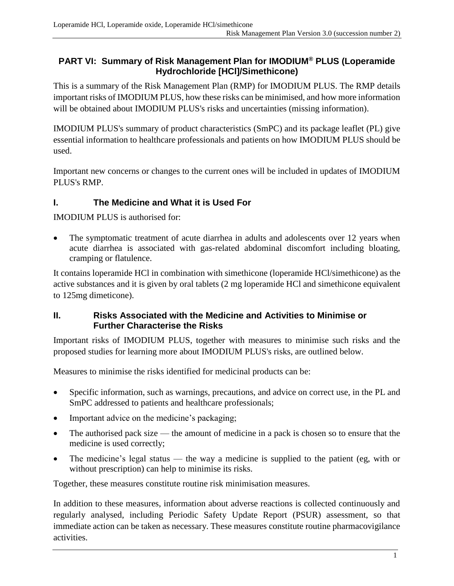## **PART VI: Summary of Risk Management Plan for IMODIUM® PLUS (Loperamide Hydrochloride [HCl]/Simethicone)**

This is a summary of the Risk Management Plan (RMP) for IMODIUM PLUS. The RMP details important risks of IMODIUM PLUS, how these risks can be minimised, and how more information will be obtained about IMODIUM PLUS's risks and uncertainties (missing information).

IMODIUM PLUS's summary of product characteristics (SmPC) and its package leaflet (PL) give essential information to healthcare professionals and patients on how IMODIUM PLUS should be used.

Important new concerns or changes to the current ones will be included in updates of IMODIUM PLUS's RMP.

## **I. The Medicine and What it is Used For**

IMODIUM PLUS is authorised for:

The symptomatic treatment of acute diarrhea in adults and adolescents over 12 years when acute diarrhea is associated with gas-related abdominal discomfort including bloating, cramping or flatulence.

It contains loperamide HCl in combination with simethicone (loperamide HCl/simethicone) as the active substances and it is given by oral tablets (2 mg loperamide HCl and simethicone equivalent to 125mg dimeticone).

#### **II. Risks Associated with the Medicine and Activities to Minimise or Further Characterise the Risks**

Important risks of IMODIUM PLUS, together with measures to minimise such risks and the proposed studies for learning more about IMODIUM PLUS's risks, are outlined below.

Measures to minimise the risks identified for medicinal products can be:

- Specific information, such as warnings, precautions, and advice on correct use, in the PL and SmPC addressed to patients and healthcare professionals;
- Important advice on the medicine's packaging;
- The authorised pack size the amount of medicine in a pack is chosen so to ensure that the medicine is used correctly;
- The medicine's legal status the way a medicine is supplied to the patient (eg, with or without prescription) can help to minimise its risks.

Together, these measures constitute routine risk minimisation measures.

In addition to these measures, information about adverse reactions is collected continuously and regularly analysed, including Periodic Safety Update Report (PSUR) assessment, so that immediate action can be taken as necessary. These measures constitute routine pharmacovigilance activities.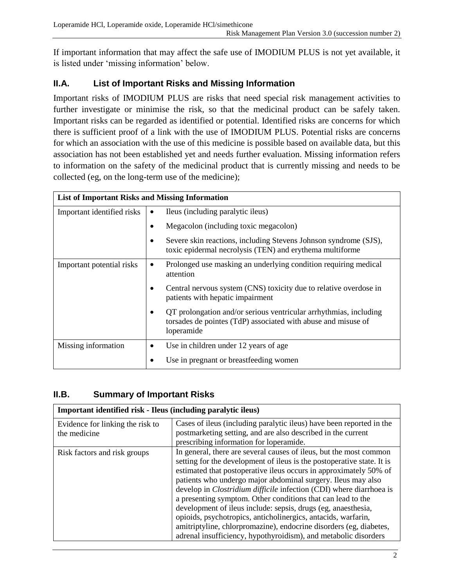If important information that may affect the safe use of IMODIUM PLUS is not yet available, it is listed under 'missing information' below.

# **II.A. List of Important Risks and Missing Information**

Important risks of IMODIUM PLUS are risks that need special risk management activities to further investigate or minimise the risk, so that the medicinal product can be safely taken. Important risks can be regarded as identified or potential. Identified risks are concerns for which there is sufficient proof of a link with the use of IMODIUM PLUS. Potential risks are concerns for which an association with the use of this medicine is possible based on available data, but this association has not been established yet and needs further evaluation. Missing information refers to information on the safety of the medicinal product that is currently missing and needs to be collected (eg, on the long-term use of the medicine);

| <b>List of Important Risks and Missing Information</b> |                                                                                                                                                  |  |
|--------------------------------------------------------|--------------------------------------------------------------------------------------------------------------------------------------------------|--|
| Important identified risks                             | Ileus (including paralytic ileus)<br>$\bullet$                                                                                                   |  |
|                                                        | Megacolon (including toxic megacolon)                                                                                                            |  |
|                                                        | Severe skin reactions, including Stevens Johnson syndrome (SJS),<br>toxic epidermal necrolysis (TEN) and erythema multiforme                     |  |
| Important potential risks                              | Prolonged use masking an underlying condition requiring medical<br>attention                                                                     |  |
|                                                        | Central nervous system (CNS) toxicity due to relative overdose in<br>patients with hepatic impairment                                            |  |
|                                                        | QT prolongation and/or serious ventricular arrhythmias, including<br>torsades de pointes (TdP) associated with abuse and misuse of<br>loperamide |  |
| Missing information                                    | Use in children under 12 years of age.<br>٠                                                                                                      |  |
|                                                        | Use in pregnant or breastfeeding women                                                                                                           |  |

# **II.B. Summary of Important Risks**

| Important identified risk - Ileus (including paralytic ileus) |                                                                                                                                                                                                                                                                                                                                                                                                                                                                                                                                                                                                                                                                                                           |
|---------------------------------------------------------------|-----------------------------------------------------------------------------------------------------------------------------------------------------------------------------------------------------------------------------------------------------------------------------------------------------------------------------------------------------------------------------------------------------------------------------------------------------------------------------------------------------------------------------------------------------------------------------------------------------------------------------------------------------------------------------------------------------------|
| Evidence for linking the risk to<br>the medicine              | Cases of ileus (including paralytic ileus) have been reported in the<br>postmarketing setting, and are also described in the current<br>prescribing information for loperamide.                                                                                                                                                                                                                                                                                                                                                                                                                                                                                                                           |
| Risk factors and risk groups                                  | In general, there are several causes of ileus, but the most common<br>setting for the development of ileus is the postoperative state. It is<br>estimated that postoperative ileus occurs in approximately 50% of<br>patients who undergo major abdominal surgery. Ileus may also<br>develop in <i>Clostridium difficile</i> infection (CDI) where diarrhoea is<br>a presenting symptom. Other conditions that can lead to the<br>development of ileus include: sepsis, drugs (eg, anaesthesia,<br>opioids, psychotropics, anticholinergics, antacids, warfarin,<br>amitriptyline, chlorpromazine), endocrine disorders (eg, diabetes,<br>adrenal insufficiency, hypothyroidism), and metabolic disorders |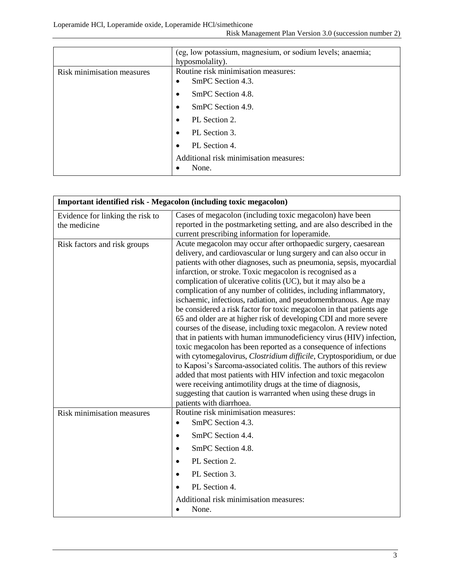Loperamide HCl, Loperamide oxide, Loperamide HCl/simethicone

| Risk Management Plan Version 3.0 (succession number 2) |  |  |
|--------------------------------------------------------|--|--|
|--------------------------------------------------------|--|--|

|                            | (eg, low potassium, magnesium, or sodium levels; anaemia;<br>hyposmolality). |
|----------------------------|------------------------------------------------------------------------------|
| Risk minimisation measures | Routine risk minimisation measures:<br>SmPC Section 4.3.                     |
|                            | SmPC Section 4.8.                                                            |
|                            | SmPC Section 4.9.                                                            |
|                            | PL Section 2.                                                                |
|                            | PL Section 3.                                                                |
|                            | PL Section 4.                                                                |
|                            | Additional risk minimisation measures:<br>None.                              |

| Important identified risk - Megacolon (including toxic megacolon) |                                                                                                                                                                                                                                                                                                                                                                                                                                                                                                                                                                                                                                                                                                                                                                                                                                                                                                                                                                                                                                                                                                                                                                                                                              |
|-------------------------------------------------------------------|------------------------------------------------------------------------------------------------------------------------------------------------------------------------------------------------------------------------------------------------------------------------------------------------------------------------------------------------------------------------------------------------------------------------------------------------------------------------------------------------------------------------------------------------------------------------------------------------------------------------------------------------------------------------------------------------------------------------------------------------------------------------------------------------------------------------------------------------------------------------------------------------------------------------------------------------------------------------------------------------------------------------------------------------------------------------------------------------------------------------------------------------------------------------------------------------------------------------------|
| Evidence for linking the risk to<br>the medicine                  | Cases of megacolon (including toxic megacolon) have been<br>reported in the postmarketing setting, and are also described in the<br>current prescribing information for loperamide.                                                                                                                                                                                                                                                                                                                                                                                                                                                                                                                                                                                                                                                                                                                                                                                                                                                                                                                                                                                                                                          |
| Risk factors and risk groups                                      | Acute megacolon may occur after orthopaedic surgery, caesarean<br>delivery, and cardiovascular or lung surgery and can also occur in<br>patients with other diagnoses, such as pneumonia, sepsis, myocardial<br>infarction, or stroke. Toxic megacolon is recognised as a<br>complication of ulcerative colitis (UC), but it may also be a<br>complication of any number of colitides, including inflammatory,<br>ischaemic, infectious, radiation, and pseudomembranous. Age may<br>be considered a risk factor for toxic megacolon in that patients age<br>65 and older are at higher risk of developing CDI and more severe<br>courses of the disease, including toxic megacolon. A review noted<br>that in patients with human immunodeficiency virus (HIV) infection,<br>toxic megacolon has been reported as a consequence of infections<br>with cytomegalovirus, Clostridium difficile, Cryptosporidium, or due<br>to Kaposi's Sarcoma-associated colitis. The authors of this review<br>added that most patients with HIV infection and toxic megacolon<br>were receiving antimotility drugs at the time of diagnosis,<br>suggesting that caution is warranted when using these drugs in<br>patients with diarrhoea. |
| Risk minimisation measures                                        | Routine risk minimisation measures:<br>SmPC Section 4.3.<br>$\bullet$<br>SmPC Section 4.4.<br>$\bullet$<br>SmPC Section 4.8.<br>$\bullet$<br>PL Section 2.<br>$\bullet$<br>PL Section 3.<br>$\bullet$<br>PL Section 4.<br>Additional risk minimisation measures:<br>None.                                                                                                                                                                                                                                                                                                                                                                                                                                                                                                                                                                                                                                                                                                                                                                                                                                                                                                                                                    |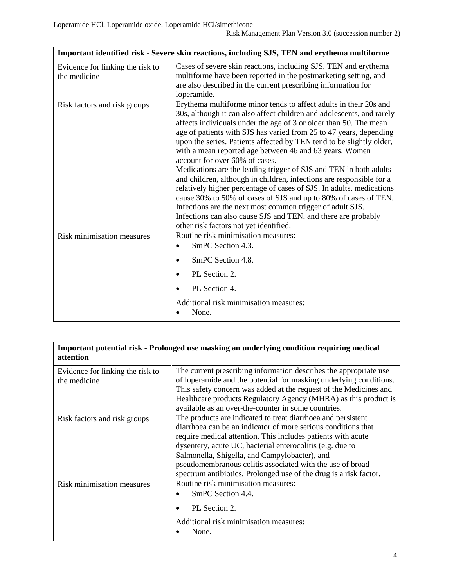| Important identified risk - Severe skin reactions, including SJS, TEN and erythema multiforme |                                                                                                                                                                                                                                                                                                                                                                                                                                                                                                                                                                                                                                                                                                                                                                                                                                                                                                                            |
|-----------------------------------------------------------------------------------------------|----------------------------------------------------------------------------------------------------------------------------------------------------------------------------------------------------------------------------------------------------------------------------------------------------------------------------------------------------------------------------------------------------------------------------------------------------------------------------------------------------------------------------------------------------------------------------------------------------------------------------------------------------------------------------------------------------------------------------------------------------------------------------------------------------------------------------------------------------------------------------------------------------------------------------|
| Evidence for linking the risk to<br>the medicine                                              | Cases of severe skin reactions, including SJS, TEN and erythema<br>multiforme have been reported in the postmarketing setting, and<br>are also described in the current prescribing information for<br>loperamide.                                                                                                                                                                                                                                                                                                                                                                                                                                                                                                                                                                                                                                                                                                         |
| Risk factors and risk groups                                                                  | Erythema multiforme minor tends to affect adults in their 20s and<br>30s, although it can also affect children and adolescents, and rarely<br>affects individuals under the age of 3 or older than 50. The mean<br>age of patients with SJS has varied from 25 to 47 years, depending<br>upon the series. Patients affected by TEN tend to be slightly older,<br>with a mean reported age between 46 and 63 years. Women<br>account for over 60% of cases.<br>Medications are the leading trigger of SJS and TEN in both adults<br>and children, although in children, infections are responsible for a<br>relatively higher percentage of cases of SJS. In adults, medications<br>cause 30% to 50% of cases of SJS and up to 80% of cases of TEN.<br>Infections are the next most common trigger of adult SJS.<br>Infections can also cause SJS and TEN, and there are probably<br>other risk factors not yet identified. |
| Risk minimisation measures                                                                    | Routine risk minimisation measures:<br>SmPC Section 4.3.<br>$\bullet$<br>SmPC Section 4.8.<br>PL Section 2.<br>PL Section 4.<br>Additional risk minimisation measures:<br>None.                                                                                                                                                                                                                                                                                                                                                                                                                                                                                                                                                                                                                                                                                                                                            |

#### **Important potential risk - Prolonged use masking an underlying condition requiring medical attention**

| Evidence for linking the risk to<br>the medicine | The current prescribing information describes the appropriate use<br>of loperamide and the potential for masking underlying conditions. |
|--------------------------------------------------|-----------------------------------------------------------------------------------------------------------------------------------------|
|                                                  | This safety concern was added at the request of the Medicines and                                                                       |
|                                                  | Healthcare products Regulatory Agency (MHRA) as this product is                                                                         |
|                                                  | available as an over-the-counter in some countries.                                                                                     |
| Risk factors and risk groups                     | The products are indicated to treat diarrhoea and persistent                                                                            |
|                                                  | diarrhoea can be an indicator of more serious conditions that                                                                           |
|                                                  | require medical attention. This includes patients with acute                                                                            |
|                                                  | dysentery, acute UC, bacterial enterocolitis (e.g. due to                                                                               |
|                                                  | Salmonella, Shigella, and Campylobacter), and                                                                                           |
|                                                  | pseudomembranous colitis associated with the use of broad-                                                                              |
|                                                  | spectrum antibiotics. Prolonged use of the drug is a risk factor.                                                                       |
| <b>Risk minimisation measures</b>                | Routine risk minimisation measures:                                                                                                     |
|                                                  | SmPC Section 4.4.                                                                                                                       |
|                                                  | PL Section 2.                                                                                                                           |
|                                                  | Additional risk minimisation measures:                                                                                                  |
|                                                  | None.                                                                                                                                   |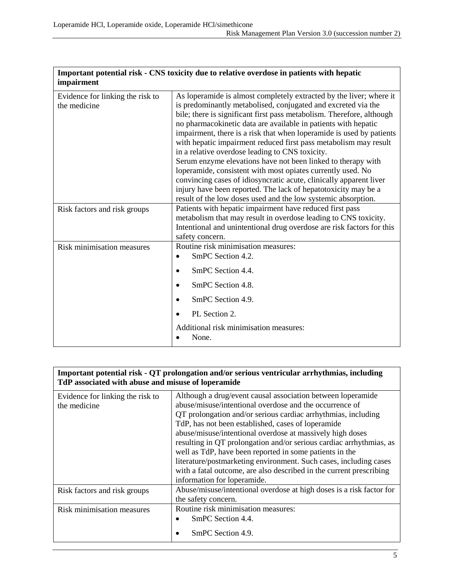| Important potential risk - CNS toxicity due to relative overdose in patients with hepatic<br>impairment |                                                                                                                                                                                                                                                                                                                                                                                                                                                                                                                                                                                                                                                                                                                                                                                                                        |
|---------------------------------------------------------------------------------------------------------|------------------------------------------------------------------------------------------------------------------------------------------------------------------------------------------------------------------------------------------------------------------------------------------------------------------------------------------------------------------------------------------------------------------------------------------------------------------------------------------------------------------------------------------------------------------------------------------------------------------------------------------------------------------------------------------------------------------------------------------------------------------------------------------------------------------------|
| Evidence for linking the risk to<br>the medicine                                                        | As loperamide is almost completely extracted by the liver; where it<br>is predominantly metabolised, conjugated and excreted via the<br>bile; there is significant first pass metabolism. Therefore, although<br>no pharmacokinetic data are available in patients with hepatic<br>impairment, there is a risk that when loperamide is used by patients<br>with hepatic impairment reduced first pass metabolism may result<br>in a relative overdose leading to CNS toxicity.<br>Serum enzyme elevations have not been linked to therapy with<br>loperamide, consistent with most opiates currently used. No<br>convincing cases of idiosyncratic acute, clinically apparent liver<br>injury have been reported. The lack of hepatotoxicity may be a<br>result of the low doses used and the low systemic absorption. |
| Risk factors and risk groups                                                                            | Patients with hepatic impairment have reduced first pass<br>metabolism that may result in overdose leading to CNS toxicity.<br>Intentional and unintentional drug overdose are risk factors for this<br>safety concern.                                                                                                                                                                                                                                                                                                                                                                                                                                                                                                                                                                                                |
| Risk minimisation measures                                                                              | Routine risk minimisation measures:<br>SmPC Section 4.2.<br>SmPC Section 4.4.<br>SmPC Section 4.8.<br>SmPC Section 4.9.<br>PL Section 2.<br>Additional risk minimisation measures:<br>None.                                                                                                                                                                                                                                                                                                                                                                                                                                                                                                                                                                                                                            |

| Important potential risk - QT prolongation and/or serious ventricular arrhythmias, including<br>TdP associated with abuse and misuse of loperamide |                                                                                                                                                                                                                                                                                                                                                                                                                                                                                                                                                                                                                         |
|----------------------------------------------------------------------------------------------------------------------------------------------------|-------------------------------------------------------------------------------------------------------------------------------------------------------------------------------------------------------------------------------------------------------------------------------------------------------------------------------------------------------------------------------------------------------------------------------------------------------------------------------------------------------------------------------------------------------------------------------------------------------------------------|
| Evidence for linking the risk to<br>the medicine                                                                                                   | Although a drug/event causal association between loperamide<br>abuse/misuse/intentional overdose and the occurrence of<br>QT prolongation and/or serious cardiac arrhythmias, including<br>TdP, has not been established, cases of loperamide<br>abuse/misuse/intentional overdose at massively high doses<br>resulting in QT prolongation and/or serious cardiac arrhythmias, as<br>well as TdP, have been reported in some patients in the<br>literature/postmarketing environment. Such cases, including cases<br>with a fatal outcome, are also described in the current prescribing<br>information for loperamide. |
| Risk factors and risk groups                                                                                                                       | Abuse/misuse/intentional overdose at high doses is a risk factor for<br>the safety concern.                                                                                                                                                                                                                                                                                                                                                                                                                                                                                                                             |
| Risk minimisation measures                                                                                                                         | Routine risk minimisation measures:<br>SmPC Section 4.4.<br>SmPC Section 4.9.                                                                                                                                                                                                                                                                                                                                                                                                                                                                                                                                           |

# **Important potential risk - CNS toxicity due to relative overdose in patients with hepatic**